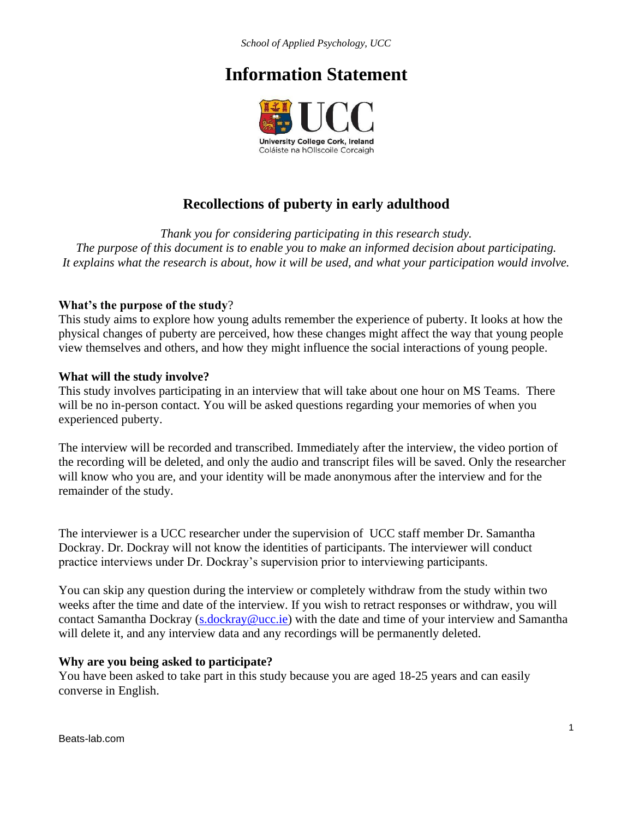*School of Applied Psychology, UCC*

# **Information Statement**



# **Recollections of puberty in early adulthood**

*Thank you for considering participating in this research study. The purpose of this document is to enable you to make an informed decision about participating. It explains what the research is about, how it will be used, and what your participation would involve.*

#### **What's the purpose of the study**?

This study aims to explore how young adults remember the experience of puberty. It looks at how the physical changes of puberty are perceived, how these changes might affect the way that young people view themselves and others, and how they might influence the social interactions of young people.

#### **What will the study involve?**

This study involves participating in an interview that will take about one hour on MS Teams. There will be no in-person contact. You will be asked questions regarding your memories of when you experienced puberty.

The interview will be recorded and transcribed. Immediately after the interview, the video portion of the recording will be deleted, and only the audio and transcript files will be saved. Only the researcher will know who you are, and your identity will be made anonymous after the interview and for the remainder of the study.

The interviewer is a UCC researcher under the supervision of UCC staff member Dr. Samantha Dockray. Dr. Dockray will not know the identities of participants. The interviewer will conduct practice interviews under Dr. Dockray's supervision prior to interviewing participants.

You can skip any question during the interview or completely withdraw from the study within two weeks after the time and date of the interview. If you wish to retract responses or withdraw, you will contact Samantha Dockray [\(s.dockray@ucc.ie\)](mailto:s.dockray@ucc.ie) with the date and time of your interview and Samantha will delete it, and any interview data and any recordings will be permanently deleted.

#### **Why are you being asked to participate?**

You have been asked to take part in this study because you are aged 18-25 years and can easily converse in English.